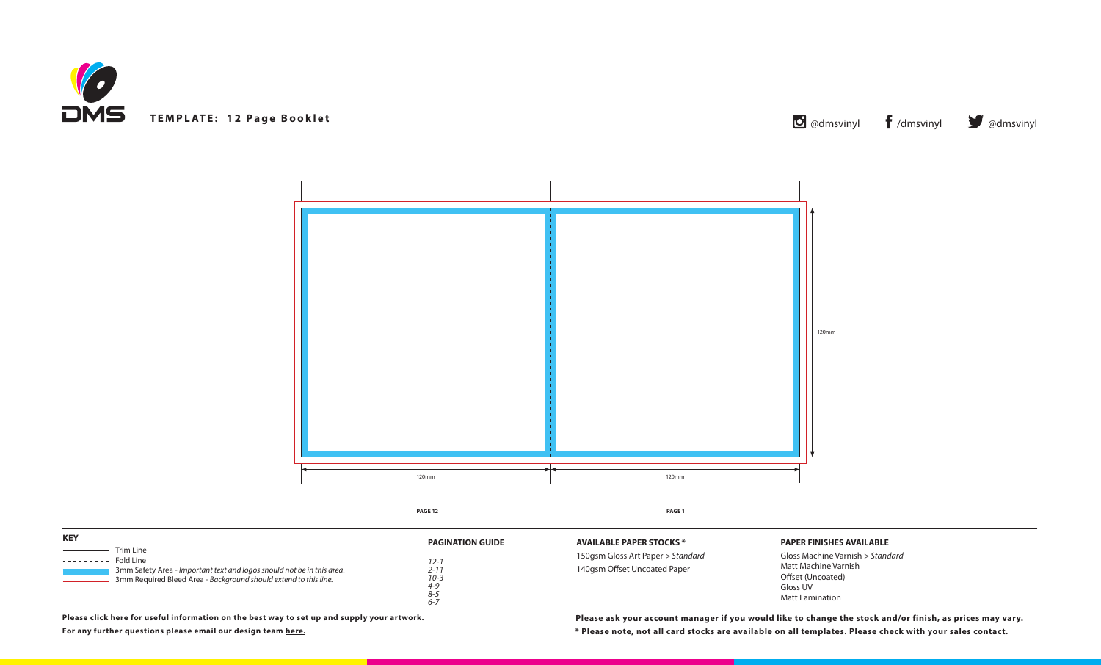



**\* Please note, not all card stocks are available on all templates. Please check with your sales contact. Please ask your account manager if you would like to change the stock and/or finish, as prices may vary.**

**DCKS** \*

| <b>KEY</b>                                                                                                                                                                        |                                                                                    |                                                                               |
|-----------------------------------------------------------------------------------------------------------------------------------------------------------------------------------|------------------------------------------------------------------------------------|-------------------------------------------------------------------------------|
| Trim Line<br>Fold Line<br>---------<br>3mm Safety Area - Important text and logos should not be in this area.<br>3mm Required Bleed Area - Background should extend to this line. | <b>PAGINATION GUIDE</b><br>12-<br>2-1<br>$10 - 3$<br>$4 - 9$<br>$8 - 5$<br>$6 - 7$ | <b>AVAILABLE PAPER STO</b><br>150gsm Gloss Art Paper<br>140gsm Offset Uncoate |

# **PAPER FINISHES AVAILABLE**

Gloss Machine Varnish *> Standard* Matt Machine Varnish Offset (Uncoated) Gloss UV Matt Lamination

**Please click [here](https://www.discmanufacturingservices.com/cd/templates#artwork-specifications) for useful information on the best way to set up and supply your artwork.**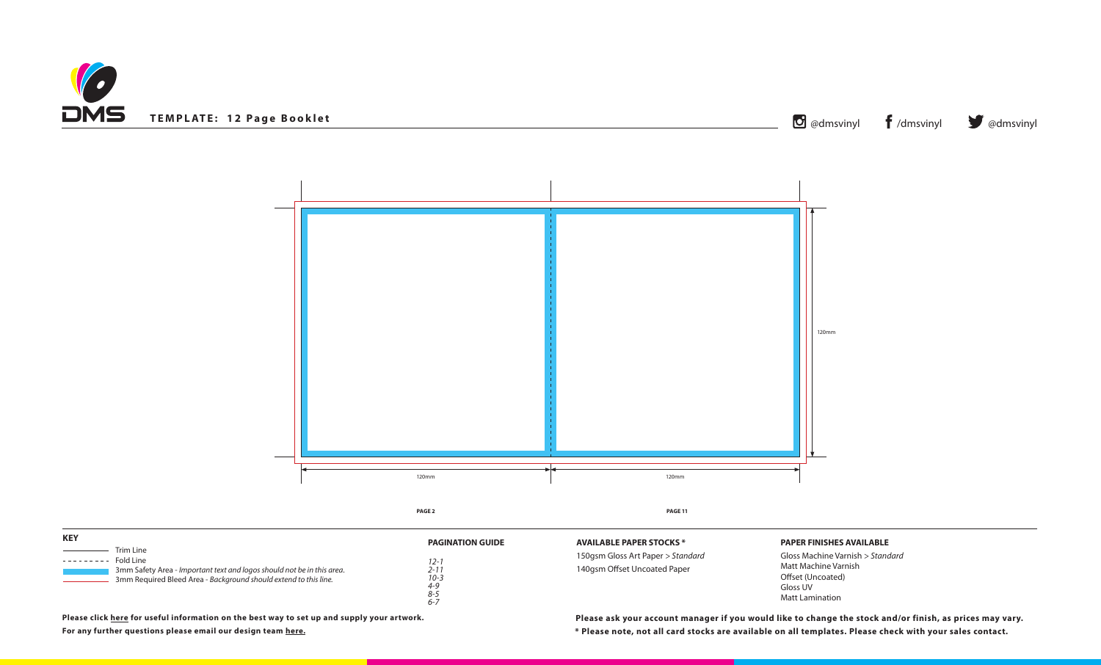



# **PAPER FINISHES AVAILABLE**

| <b>KEY</b>                                                                                                                                                                         |                                                                                      |                                                                               |
|------------------------------------------------------------------------------------------------------------------------------------------------------------------------------------|--------------------------------------------------------------------------------------|-------------------------------------------------------------------------------|
| Trim Line<br>Fold Line<br>. <u>.</u><br>3mm Safety Area - Important text and logos should not be in this area.<br>3mm Required Bleed Area - Background should extend to this line. | <b>PAGINATION GUIDE</b><br>12-i<br>2-11<br>$10 - 3$<br>$4 - 9$<br>$8 - 5$<br>$6 - 7$ | <b>AVAILABLE PAPER STO</b><br>150gsm Gloss Art Paper<br>140gsm Offset Uncoate |

Gloss Machine Varnish *> Standard* Matt Machine Varnish Offset (Uncoated) Gloss UV Matt Lamination

**\* Please note, not all card stocks are available on all templates. Please check with your sales contact. Please click [here](https://www.discmanufacturingservices.com/cd/templates#artwork-specifications) for useful information on the best way to set up and supply your artwork. Please ask your account manager if you would like to change the stock and/or finish, as prices may vary.**

**DCKS** \*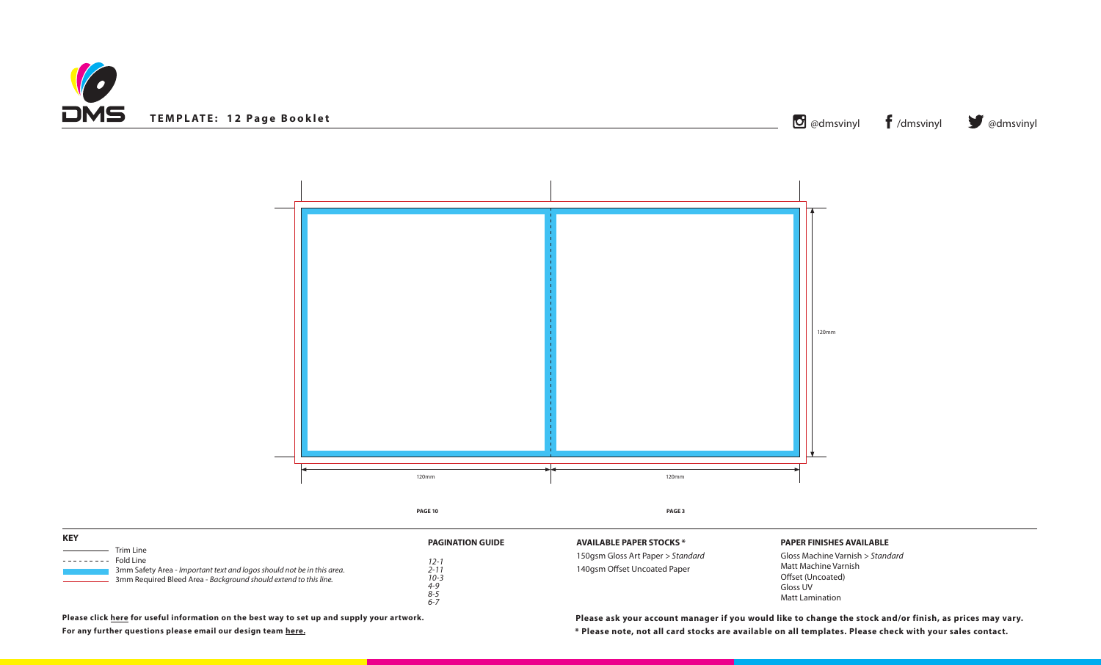



# **PAPER FINISHES AVAILABLE**

| <b>KEY</b>                                                                                                                                                                        |                                                                                    |                                                                               |
|-----------------------------------------------------------------------------------------------------------------------------------------------------------------------------------|------------------------------------------------------------------------------------|-------------------------------------------------------------------------------|
| Trim Line<br>Fold Line<br>---------<br>3mm Safety Area - Important text and logos should not be in this area.<br>3mm Required Bleed Area - Background should extend to this line. | <b>PAGINATION GUIDE</b><br>12-<br>2-1<br>$10 - 3$<br>$4 - 9$<br>$8 - 5$<br>$6 - 7$ | <b>AVAILABLE PAPER STO</b><br>150gsm Gloss Art Paper<br>140gsm Offset Uncoate |

Gloss Machine Varnish *> Standard* Matt Machine Varnish Offset (Uncoated) Gloss UV Matt Lamination

**\* Please note, not all card stocks are available on all templates. Please check with your sales contact. Please click [here](https://www.discmanufacturingservices.com/cd/templates#artwork-specifications) for useful information on the best way to set up and supply your artwork. Please ask your account manager if you would like to change the stock and/or finish, as prices may vary.**

**DCKS** \*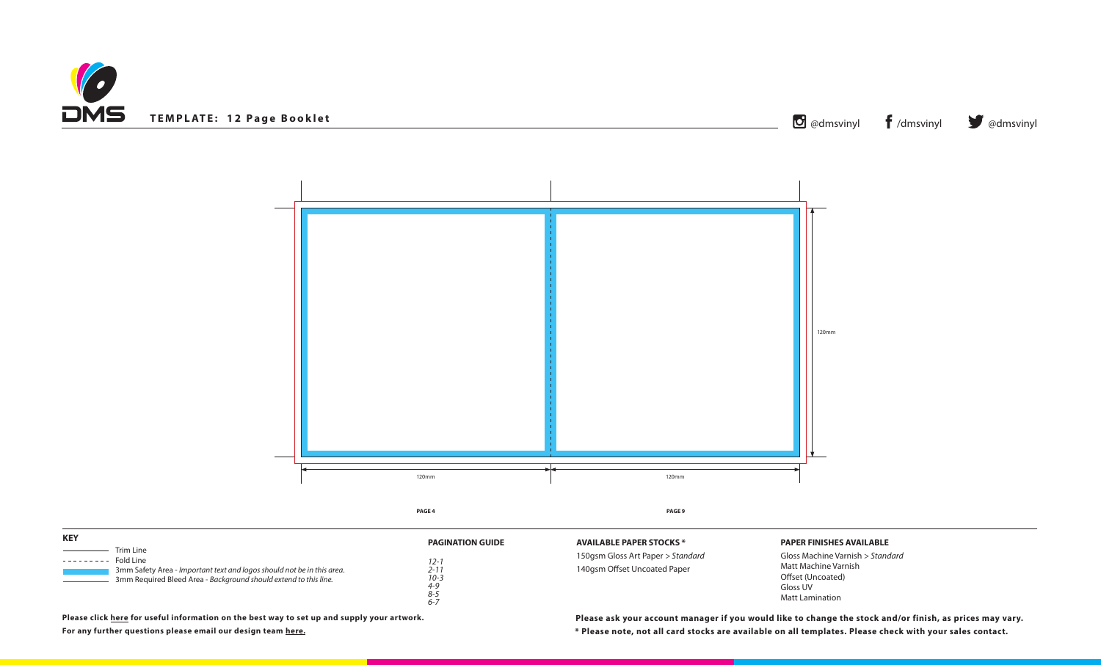



150gsm Gloss Art Paper *> Standard*

# ed Paper

#### **PAPER FINISHES AVAILABLE**

| <b>KEY</b><br>Trim Line<br>Fold Line<br>. <u>.</u><br>3mm Safety Area - Important text and logos should not be in this area. | <b>PAGINATION GUIDE</b><br>12-<br>$2 - 17$ | <b>AVAILABLE PAPER STOCKS *</b><br>150gsm Gloss Art Paper > Stan<br>140gsm Offset Uncoated Pape |  |
|------------------------------------------------------------------------------------------------------------------------------|--------------------------------------------|-------------------------------------------------------------------------------------------------|--|
| 3mm Required Bleed Area - Background should extend to this line.                                                             | $10 - 3$<br>$4 - 9$<br>$8 - 5$<br>$6 - 7$  |                                                                                                 |  |

Gloss Machine Varnish *> Standard* Matt Machine Varnish Offset (Uncoated) Gloss UV Matt Lamination

**\* Please note, not all card stocks are available on all templates. Please check with your sales contact. Please click [here](https://www.discmanufacturingservices.com/cd/templates#artwork-specifications) for useful information on the best way to set up and supply your artwork. Please ask your account manager if you would like to change the stock and/or finish, as prices may vary.**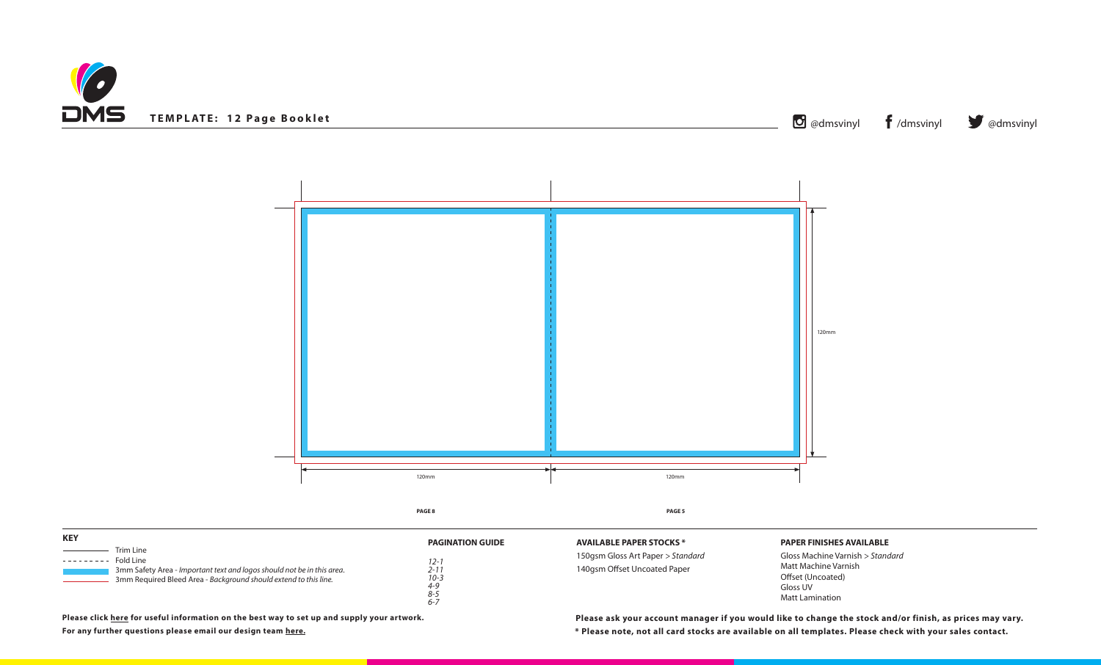



# **PAPER FINISHES AVAILABLE**

| <b>KEY</b>                                                                                                                                                                      | <b>PAGINATION GUIDE</b>                                       | <b>AVAILABLE PAPER STO</b>                     |
|---------------------------------------------------------------------------------------------------------------------------------------------------------------------------------|---------------------------------------------------------------|------------------------------------------------|
| Trim Line<br>Fold Line<br>-------<br>3mm Safety Area - Important text and logos should not be in this area.<br>3mm Required Bleed Area - Background should extend to this line. | $12 - i$<br>2-11<br>$10 - 3$<br>$4 - 9$<br>$8 - 5$<br>$6 - 7$ | 150gsm Gloss Art Pape<br>140gsm Offset Uncoate |

Gloss Machine Varnish *> Standard* Matt Machine Varnish Offset (Uncoated) Gloss UV Matt Lamination

**\* Please note, not all card stocks are available on all templates. Please check with your sales contact. Please click [here](https://www.discmanufacturingservices.com/cd/templates#artwork-specifications) for useful information on the best way to set up and supply your artwork. Please ask your account manager if you would like to change the stock and/or finish, as prices may vary.**

**POCKS** \*